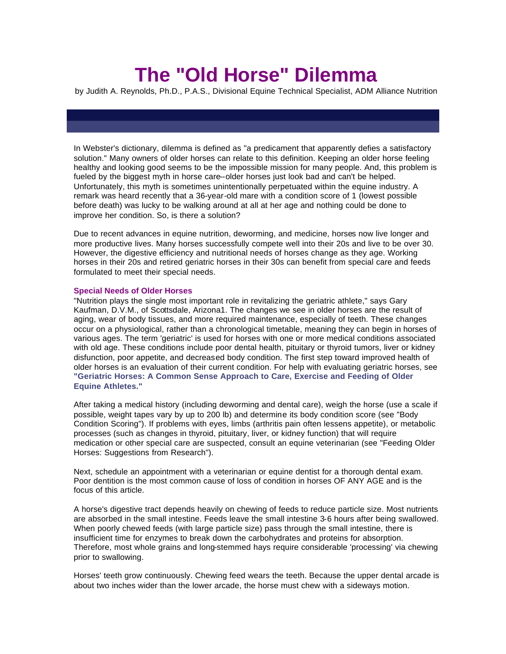## **The "Old Horse" Dilemma**

by Judith A. Reynolds, Ph.D., P.A.S., Divisional Equine Technical Specialist, ADM Alliance Nutrition

In Webster's dictionary, dilemma is defined as "a predicament that apparently defies a satisfactory solution." Many owners of older horses can relate to this definition. Keeping an older horse feeling healthy and looking good seems to be the impossible mission for many people. And, this problem is fueled by the biggest myth in horse care--older horses just look bad and can't be helped. Unfortunately, this myth is sometimes unintentionally perpetuated within the equine industry. A remark was heard recently that a 36-year-old mare with a condition score of 1 (lowest possible before death) was lucky to be walking around at all at her age and nothing could be done to improve her condition. So, is there a solution?

Due to recent advances in equine nutrition, deworming, and medicine, horses now live longer and more productive lives. Many horses successfully compete well into their 20s and live to be over 30. However, the digestive efficiency and nutritional needs of horses change as they age. Working horses in their 20s and retired geriatric horses in their 30s can benefit from special care and feeds formulated to meet their special needs.

## **Special Needs of Older Horses**

"Nutrition plays the single most important role in revitalizing the geriatric athlete," says Gary Kaufman, D.V.M., of Scottsdale, Arizona1. The changes we see in older horses are the result of aging, wear of body tissues, and more required maintenance, especially of teeth. These changes occur on a physiological, rather than a chronological timetable, meaning they can begin in horses of various ages. The term 'geriatric' is used for horses with one or more medical conditions associated with old age. These conditions include poor dental health, pituitary or thyroid tumors, liver or kidney disfunction, poor appetite, and decreased body condition. The first step toward improved health of older horses is an evaluation of their current condition. For help with evaluating geriatric horses, see **"Geriatric Horses: A Common Sense Approach to Care, Exercise and Feeding of Older Equine Athletes."**

After taking a medical history (including deworming and dental care), weigh the horse (use a scale if possible, weight tapes vary by up to 200 lb) and determine its body condition score (see "Body Condition Scoring"). If problems with eyes, limbs (arthritis pain often lessens appetite), or metabolic processes (such as changes in thyroid, pituitary, liver, or kidney function) that will require medication or other special care are suspected, consult an equine veterinarian (see "Feeding Older Horses: Suggestions from Research").

Next, schedule an appointment with a veterinarian or equine dentist for a thorough dental exam. Poor dentition is the most common cause of loss of condition in horses OF ANY AGE and is the focus of this article.

A horse's digestive tract depends heavily on chewing of feeds to reduce particle size. Most nutrients are absorbed in the small intestine. Feeds leave the small intestine 3-6 hours after being swallowed. When poorly chewed feeds (with large particle size) pass through the small intestine, there is insufficient time for enzymes to break down the carbohydrates and proteins for absorption. Therefore, most whole grains and long-stemmed hays require considerable 'processing' via chewing prior to swallowing.

Horses' teeth grow continuously. Chewing feed wears the teeth. Because the upper dental arcade is about two inches wider than the lower arcade, the horse must chew with a sideways motion.